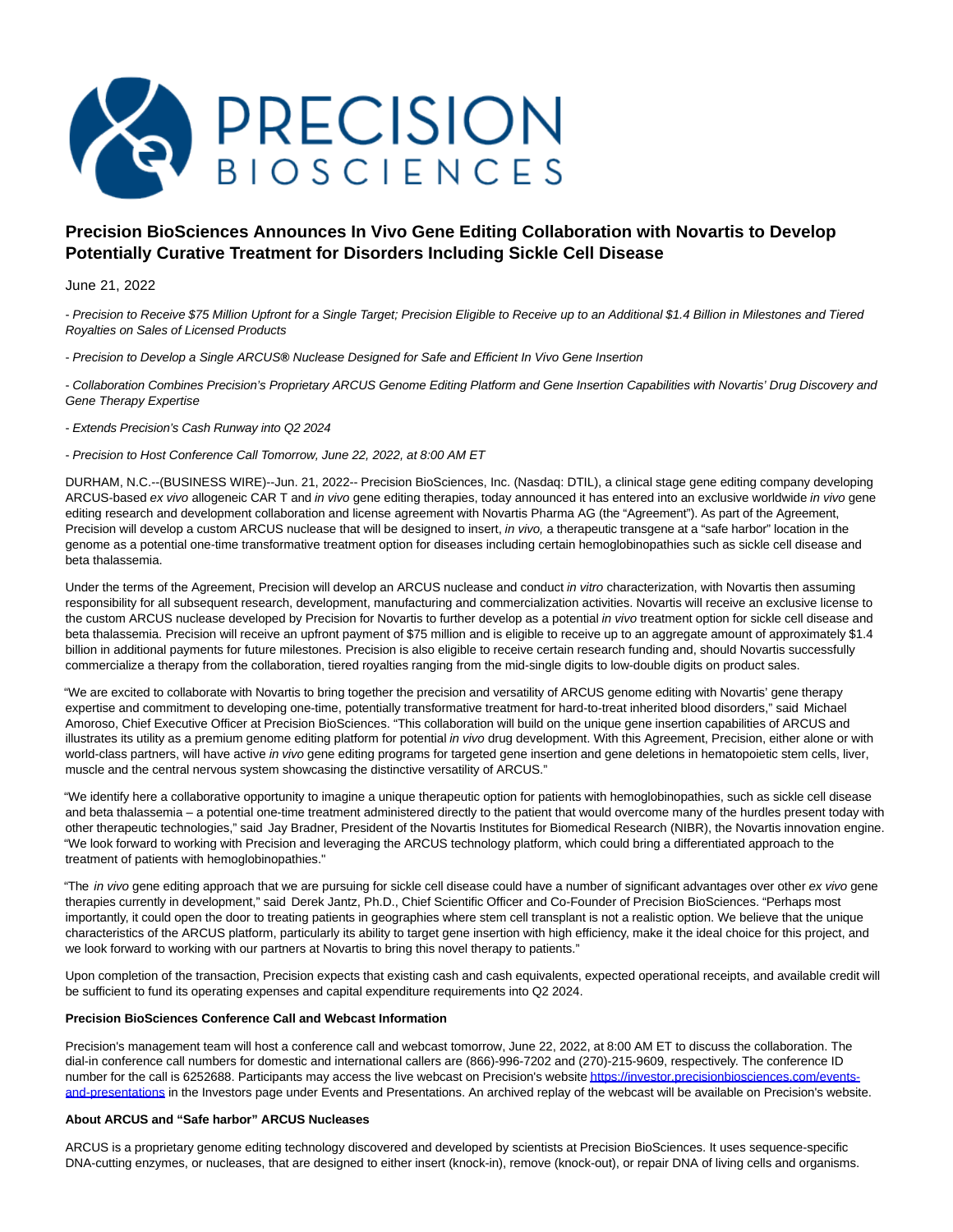

# **Precision BioSciences Announces In Vivo Gene Editing Collaboration with Novartis to Develop Potentially Curative Treatment for Disorders Including Sickle Cell Disease**

## June 21, 2022

- Precision to Receive \$75 Million Upfront for a Single Target; Precision Eligible to Receive up to an Additional \$1.4 Billion in Milestones and Tiered Royalties on Sales of Licensed Products

- Precision to Develop a Single ARCUS**®** Nuclease Designed for Safe and Efficient In Vivo Gene Insertion

- Collaboration Combines Precision's Proprietary ARCUS Genome Editing Platform and Gene Insertion Capabilities with Novartis' Drug Discovery and Gene Therapy Expertise

- Extends Precision's Cash Runway into Q2 2024

- Precision to Host Conference Call Tomorrow, June 22, 2022, at 8:00 AM ET

DURHAM, N.C.--(BUSINESS WIRE)--Jun. 21, 2022-- Precision BioSciences, Inc. (Nasdaq: DTIL), a clinical stage gene editing company developing ARCUS-based ex vivo allogeneic CAR T and in vivo gene editing therapies, today announced it has entered into an exclusive worldwide in vivo gene editing research and development collaboration and license agreement with Novartis Pharma AG (the "Agreement"). As part of the Agreement, Precision will develop a custom ARCUS nuclease that will be designed to insert, in vivo, a therapeutic transgene at a "safe harbor" location in the genome as a potential one-time transformative treatment option for diseases including certain hemoglobinopathies such as sickle cell disease and beta thalassemia.

Under the terms of the Agreement, Precision will develop an ARCUS nuclease and conduct in vitro characterization, with Novartis then assuming responsibility for all subsequent research, development, manufacturing and commercialization activities. Novartis will receive an exclusive license to the custom ARCUS nuclease developed by Precision for Novartis to further develop as a potential in vivo treatment option for sickle cell disease and beta thalassemia. Precision will receive an upfront payment of \$75 million and is eligible to receive up to an aggregate amount of approximately \$1.4 billion in additional payments for future milestones. Precision is also eligible to receive certain research funding and, should Novartis successfully commercialize a therapy from the collaboration, tiered royalties ranging from the mid-single digits to low-double digits on product sales.

"We are excited to collaborate with Novartis to bring together the precision and versatility of ARCUS genome editing with Novartis' gene therapy expertise and commitment to developing one-time, potentially transformative treatment for hard-to-treat inherited blood disorders," said Michael Amoroso, Chief Executive Officer at Precision BioSciences. "This collaboration will build on the unique gene insertion capabilities of ARCUS and illustrates its utility as a premium genome editing platform for potential in vivo drug development. With this Agreement, Precision, either alone or with world-class partners, will have active in vivo gene editing programs for targeted gene insertion and gene deletions in hematopoietic stem cells, liver, muscle and the central nervous system showcasing the distinctive versatility of ARCUS."

"We identify here a collaborative opportunity to imagine a unique therapeutic option for patients with hemoglobinopathies, such as sickle cell disease and beta thalassemia – a potential one-time treatment administered directly to the patient that would overcome many of the hurdles present today with other therapeutic technologies," said Jay Bradner, President of the Novartis Institutes for Biomedical Research (NIBR), the Novartis innovation engine. "We look forward to working with Precision and leveraging the ARCUS technology platform, which could bring a differentiated approach to the treatment of patients with hemoglobinopathies."

"The in vivo gene editing approach that we are pursuing for sickle cell disease could have a number of significant advantages over other ex vivo gene therapies currently in development," said Derek Jantz, Ph.D., Chief Scientific Officer and Co-Founder of Precision BioSciences. "Perhaps most importantly, it could open the door to treating patients in geographies where stem cell transplant is not a realistic option. We believe that the unique characteristics of the ARCUS platform, particularly its ability to target gene insertion with high efficiency, make it the ideal choice for this project, and we look forward to working with our partners at Novartis to bring this novel therapy to patients."

Upon completion of the transaction, Precision expects that existing cash and cash equivalents, expected operational receipts, and available credit will be sufficient to fund its operating expenses and capital expenditure requirements into Q2 2024.

## **Precision BioSciences Conference Call and Webcast Information**

Precision's management team will host a conference call and webcast tomorrow, June 22, 2022, at 8:00 AM ET to discuss the collaboration. The dial-in conference call numbers for domestic and international callers are (866)-996-7202 and (270)-215-9609, respectively. The conference ID number for the call is 6252688. Participants may access the live webcast on Precision's websit[e https://investor.precisionbiosciences.com/events](https://cts.businesswire.com/ct/CT?id=smartlink&url=https%3A%2F%2Finvestor.precisionbiosciences.com%2Fevents-and-presentations&esheet=52757338&newsitemid=20220621005983&lan=en-US&anchor=https%3A%2F%2Finvestor.precisionbiosciences.com%2Fevents-and-presentations&index=1&md5=a82918278259bba96632f57f853dff19)and-presentations in the Investors page under Events and Presentations. An archived replay of the webcast will be available on Precision's website.

## **About ARCUS and "Safe harbor" ARCUS Nucleases**

ARCUS is a proprietary genome editing technology discovered and developed by scientists at Precision BioSciences. It uses sequence-specific DNA-cutting enzymes, or nucleases, that are designed to either insert (knock-in), remove (knock-out), or repair DNA of living cells and organisms.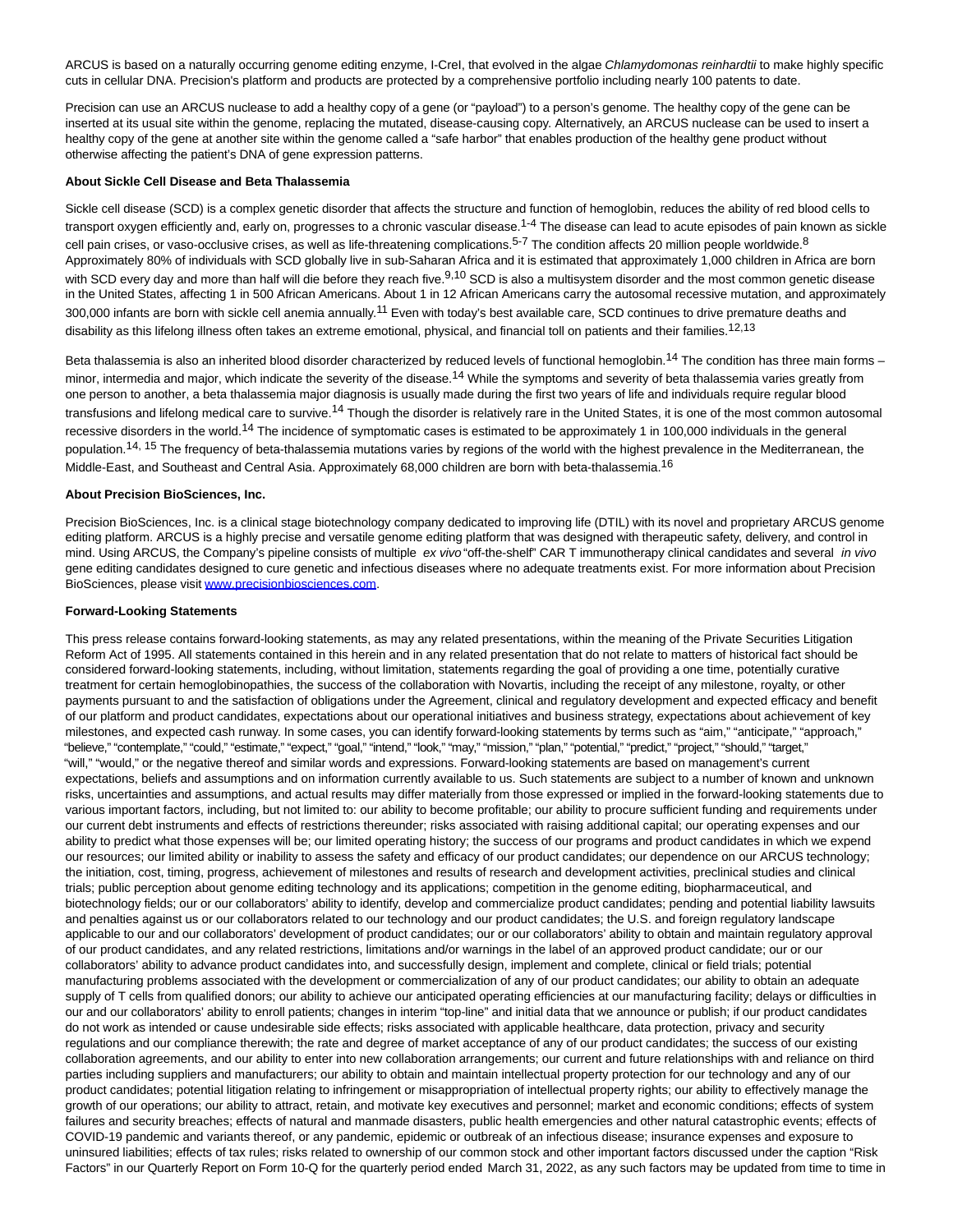ARCUS is based on a naturally occurring genome editing enzyme, I-CreI, that evolved in the algae Chlamydomonas reinhardtii to make highly specific cuts in cellular DNA. Precision's platform and products are protected by a comprehensive portfolio including nearly 100 patents to date.

Precision can use an ARCUS nuclease to add a healthy copy of a gene (or "payload") to a person's genome. The healthy copy of the gene can be inserted at its usual site within the genome, replacing the mutated, disease-causing copy. Alternatively, an ARCUS nuclease can be used to insert a healthy copy of the gene at another site within the genome called a "safe harbor" that enables production of the healthy gene product without otherwise affecting the patient's DNA of gene expression patterns.

## **About Sickle Cell Disease and Beta Thalassemia**

Sickle cell disease (SCD) is a complex genetic disorder that affects the structure and function of hemoglobin, reduces the ability of red blood cells to transport oxygen efficiently and, early on, progresses to a chronic vascular disease.<sup>1-4</sup> The disease can lead to acute episodes of pain known as sickle cell pain crises, or vaso-occlusive crises, as well as life-threatening complications.<sup>5-7</sup> The condition affects 20 million people worldwide.<sup>8</sup> Approximately 80% of individuals with SCD globally live in sub-Saharan Africa and it is estimated that approximately 1,000 children in Africa are born with SCD every day and more than half will die before they reach five.<sup>9,10</sup> SCD is also a multisystem disorder and the most common genetic disease in the United States, affecting 1 in 500 African Americans. About 1 in 12 African Americans carry the autosomal recessive mutation, and approximately  $300,000$  infants are born with sickle cell anemia annually.<sup>11</sup> Even with today's best available care, SCD continues to drive premature deaths and disability as this lifelong illness often takes an extreme emotional, physical, and financial toll on patients and their families.<sup>12,13</sup>

Beta thalassemia is also an inherited blood disorder characterized by reduced levels of functional hemoglobin.<sup>14</sup> The condition has three main forms – minor, intermedia and major, which indicate the severity of the disease.<sup>14</sup> While the symptoms and severity of beta thalassemia varies greatly from one person to another, a beta thalassemia major diagnosis is usually made during the first two years of life and individuals require regular blood transfusions and lifelong medical care to survive.<sup>14</sup> Though the disorder is relatively rare in the United States, it is one of the most common autosomal recessive disorders in the world.<sup>14</sup> The incidence of symptomatic cases is estimated to be approximately 1 in 100,000 individuals in the general population.<sup>14, 15</sup> The frequency of beta-thalassemia mutations varies by regions of the world with the highest prevalence in the Mediterranean, the Middle-East, and Southeast and Central Asia. Approximately 68,000 children are born with beta-thalassemia.16

## **About Precision BioSciences, Inc.**

Precision BioSciences, Inc. is a clinical stage biotechnology company dedicated to improving life (DTIL) with its novel and proprietary ARCUS genome editing platform. ARCUS is a highly precise and versatile genome editing platform that was designed with therapeutic safety, delivery, and control in mind. Using ARCUS, the Company's pipeline consists of multiple ex vivo "off-the-shelf" CAR T immunotherapy clinical candidates and several in vivo gene editing candidates designed to cure genetic and infectious diseases where no adequate treatments exist. For more information about Precision BioSciences, please visit [www.precisionbiosciences.com.](https://cts.businesswire.com/ct/CT?id=smartlink&url=http%3A%2F%2Fwww.precisionbiosciences.com&esheet=52757338&newsitemid=20220621005983&lan=en-US&anchor=www.precisionbiosciences.com&index=2&md5=4f1ed2b1f20954f30878b42c9d38c4f3)

## **Forward-Looking Statements**

This press release contains forward-looking statements, as may any related presentations, within the meaning of the Private Securities Litigation Reform Act of 1995. All statements contained in this herein and in any related presentation that do not relate to matters of historical fact should be considered forward-looking statements, including, without limitation, statements regarding the goal of providing a one time, potentially curative treatment for certain hemoglobinopathies, the success of the collaboration with Novartis, including the receipt of any milestone, royalty, or other payments pursuant to and the satisfaction of obligations under the Agreement, clinical and regulatory development and expected efficacy and benefit of our platform and product candidates, expectations about our operational initiatives and business strategy, expectations about achievement of key milestones, and expected cash runway. In some cases, you can identify forward-looking statements by terms such as "aim," "anticipate," "approach," "believe," "contemplate," "could," "estimate," "expect," "goal," "intend," "look," "may," "mission," "plan," "potential," "predict," "project," "should," "target," "will," "would," or the negative thereof and similar words and expressions. Forward-looking statements are based on management's current expectations, beliefs and assumptions and on information currently available to us. Such statements are subject to a number of known and unknown risks, uncertainties and assumptions, and actual results may differ materially from those expressed or implied in the forward-looking statements due to various important factors, including, but not limited to: our ability to become profitable; our ability to procure sufficient funding and requirements under our current debt instruments and effects of restrictions thereunder; risks associated with raising additional capital; our operating expenses and our ability to predict what those expenses will be; our limited operating history; the success of our programs and product candidates in which we expend our resources; our limited ability or inability to assess the safety and efficacy of our product candidates; our dependence on our ARCUS technology; the initiation, cost, timing, progress, achievement of milestones and results of research and development activities, preclinical studies and clinical trials; public perception about genome editing technology and its applications; competition in the genome editing, biopharmaceutical, and biotechnology fields; our or our collaborators' ability to identify, develop and commercialize product candidates; pending and potential liability lawsuits and penalties against us or our collaborators related to our technology and our product candidates; the U.S. and foreign regulatory landscape applicable to our and our collaborators' development of product candidates; our or our collaborators' ability to obtain and maintain regulatory approval of our product candidates, and any related restrictions, limitations and/or warnings in the label of an approved product candidate; our or our collaborators' ability to advance product candidates into, and successfully design, implement and complete, clinical or field trials; potential manufacturing problems associated with the development or commercialization of any of our product candidates; our ability to obtain an adequate supply of T cells from qualified donors; our ability to achieve our anticipated operating efficiencies at our manufacturing facility; delays or difficulties in our and our collaborators' ability to enroll patients; changes in interim "top-line" and initial data that we announce or publish; if our product candidates do not work as intended or cause undesirable side effects; risks associated with applicable healthcare, data protection, privacy and security regulations and our compliance therewith; the rate and degree of market acceptance of any of our product candidates; the success of our existing collaboration agreements, and our ability to enter into new collaboration arrangements; our current and future relationships with and reliance on third parties including suppliers and manufacturers; our ability to obtain and maintain intellectual property protection for our technology and any of our product candidates; potential litigation relating to infringement or misappropriation of intellectual property rights; our ability to effectively manage the growth of our operations; our ability to attract, retain, and motivate key executives and personnel; market and economic conditions; effects of system failures and security breaches; effects of natural and manmade disasters, public health emergencies and other natural catastrophic events; effects of COVID-19 pandemic and variants thereof, or any pandemic, epidemic or outbreak of an infectious disease; insurance expenses and exposure to uninsured liabilities; effects of tax rules; risks related to ownership of our common stock and other important factors discussed under the caption "Risk Factors" in our Quarterly Report on Form 10-Q for the quarterly period ended March 31, 2022, as any such factors may be updated from time to time in